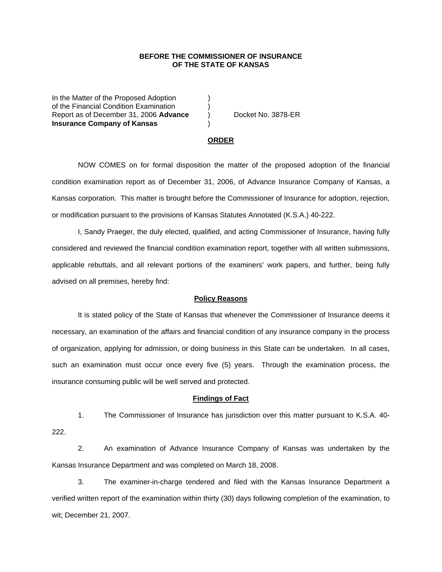## **BEFORE THE COMMISSIONER OF INSURANCE OF THE STATE OF KANSAS**

In the Matter of the Proposed Adoption of the Financial Condition Examination ) Report as of December 31, 2006 Advance **)** Docket No. 3878-ER **Insurance Company of Kansas** )

#### **ORDER**

 NOW COMES on for formal disposition the matter of the proposed adoption of the financial condition examination report as of December 31, 2006, of Advance Insurance Company of Kansas, a Kansas corporation. This matter is brought before the Commissioner of Insurance for adoption, rejection, or modification pursuant to the provisions of Kansas Statutes Annotated (K.S.A.) 40-222.

 I, Sandy Praeger, the duly elected, qualified, and acting Commissioner of Insurance, having fully considered and reviewed the financial condition examination report, together with all written submissions, applicable rebuttals, and all relevant portions of the examiners' work papers, and further, being fully advised on all premises, hereby find:

### **Policy Reasons**

 It is stated policy of the State of Kansas that whenever the Commissioner of Insurance deems it necessary, an examination of the affairs and financial condition of any insurance company in the process of organization, applying for admission, or doing business in this State can be undertaken. In all cases, such an examination must occur once every five (5) years. Through the examination process, the insurance consuming public will be well served and protected.

#### **Findings of Fact**

 1. The Commissioner of Insurance has jurisdiction over this matter pursuant to K.S.A. 40- 222.

 2. An examination of Advance Insurance Company of Kansas was undertaken by the Kansas Insurance Department and was completed on March 18, 2008.

 3. The examiner-in-charge tendered and filed with the Kansas Insurance Department a verified written report of the examination within thirty (30) days following completion of the examination, to wit; December 21, 2007.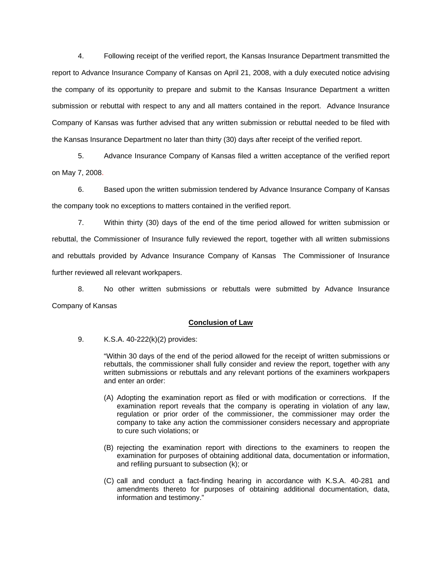4. Following receipt of the verified report, the Kansas Insurance Department transmitted the report to Advance Insurance Company of Kansas on April 21, 2008, with a duly executed notice advising the company of its opportunity to prepare and submit to the Kansas Insurance Department a written submission or rebuttal with respect to any and all matters contained in the report. Advance Insurance Company of Kansas was further advised that any written submission or rebuttal needed to be filed with the Kansas Insurance Department no later than thirty (30) days after receipt of the verified report.

 5. Advance Insurance Company of Kansas filed a written acceptance of the verified report on May 7, 2008.

6. Based upon the written submission tendered by Advance Insurance Company of Kansas the company took no exceptions to matters contained in the verified report.

 7. Within thirty (30) days of the end of the time period allowed for written submission or rebuttal, the Commissioner of Insurance fully reviewed the report, together with all written submissions and rebuttals provided by Advance Insurance Company of Kansas The Commissioner of Insurance further reviewed all relevant workpapers.

 8. No other written submissions or rebuttals were submitted by Advance Insurance Company of Kansas

## **Conclusion of Law**

9. K.S.A. 40-222(k)(2) provides:

"Within 30 days of the end of the period allowed for the receipt of written submissions or rebuttals, the commissioner shall fully consider and review the report, together with any written submissions or rebuttals and any relevant portions of the examiners workpapers and enter an order:

- (A) Adopting the examination report as filed or with modification or corrections. If the examination report reveals that the company is operating in violation of any law, regulation or prior order of the commissioner, the commissioner may order the company to take any action the commissioner considers necessary and appropriate to cure such violations; or
- (B) rejecting the examination report with directions to the examiners to reopen the examination for purposes of obtaining additional data, documentation or information, and refiling pursuant to subsection (k); or
- (C) call and conduct a fact-finding hearing in accordance with K.S.A. 40-281 and amendments thereto for purposes of obtaining additional documentation, data, information and testimony."